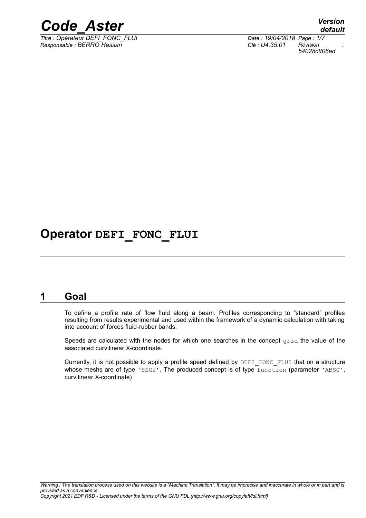

*Titre : Opérateur DEFI\_FONC\_FLUI Date : 19/04/2018 Page : 1/7 Responsable : BERRO Hassan Clé : U4.35.01 Révision :*

*default 54028cff06ed*

## **Operator DEFI\_FONC\_FLUI**

### **1 Goal**

To define a profile rate of flow fluid along a beam. Profiles corresponding to "standard" profiles resulting from results experimental and used within the framework of a dynamic calculation with taking into account of forces fluid-rubber bands.

Speeds are calculated with the nodes for which one searches in the concept  $\sigma$ rid the value of the associated curvilinear X-coordinate.

Currently, it is not possible to apply a profile speed defined by DEFI\_FONC\_FLUI that on a structure whose meshs are of type 'SEG2'. The produced concept is of type function (parameter 'ABSC', curvilinear X-coordinate)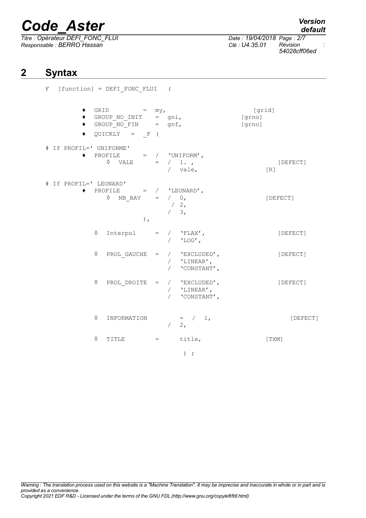*Titre : Opérateur DEFI\_FONC\_FLUI Date : 19/04/2018 Page : 2/7 Responsable : BERRO Hassan Clé : U4.35.01 Révision :*

*54028cff06ed*

### **2 Syntax**

|  |                             | $F$ [function] = $DEFI_FONC_FLUI$ ( |                                                                                                                                                                              |  |               |                                    |                            |          |
|--|-----------------------------|-------------------------------------|------------------------------------------------------------------------------------------------------------------------------------------------------------------------------|--|---------------|------------------------------------|----------------------------|----------|
|  | $\bullet$<br>٠<br>$\bullet$ |                                     | GRID $= my,$<br>$\texttt{GROUP}\_\texttt{NO\_INIT} \quad = \quad \texttt{gni,}$<br>GROUP $NO$ FIN = gnf,<br>$QUICKLY = F ($                                                  |  |               |                                    | [grid]<br>[grno]<br>[grno] |          |
|  | # If PROFIL=' UNIFORME'     |                                     | $\bullet\quad \text{PROFILE}\qquad \  \  =\quad/\quad \  \  \text{'UNIFORM'}\;,\qquad \qquad$<br>$\Diamond$ VALE = $/ 1.$                                                    |  |               | $/$ vale,                          | [R]                        | [DEFECT] |
|  | # If PROFIL=' LEONARD'      |                                     | $\begin{array}{ccccccccc} \bullet & & {\bf PROFILE} & & = & / & & ` {\tt LEONARD'} \; , & & & & \\ \lozenge & & \verb+NB_BAV & & = & / & 0 \, , & & & \end{array}$<br>$\,$ , |  | $/2$ ,<br>/3, |                                    |                            | [DEFECT] |
|  |                             | ♦                                   | $\begin{tabular}{lllll} \multicolumn{2}{l}{{\bf Interpol}} & = & / & 'FLAX' \mbox{,} \end{tabular}$                                                                          |  |               | / $'$ $'$ $\text{LOG'}$ ,          |                            | [DEFECT] |
|  |                             | ♦                                   | $PROL_GAUCHE = / 'EXCLUDED',$                                                                                                                                                |  |               | / $'$ LINEAR',<br>/ 'CONSTANT',    |                            | [DEFECT] |
|  |                             | ♦                                   | PROL DROITE = $/$ 'EXCLUDED',                                                                                                                                                |  |               | / $'$ LINEAR',<br>/ $'$ CONSTANT', |                            | [DEFECT] |
|  |                             | ♦                                   | INFORMATION = $/ 1,$                                                                                                                                                         |  |               | $\begin{array}{cc} 2, \end{array}$ |                            | [DEFECT] |
|  |                             | ♦                                   | TITLE = title,                                                                                                                                                               |  |               |                                    |                            | [TXM]    |
|  |                             |                                     |                                                                                                                                                                              |  |               | $)$ ;                              |                            |          |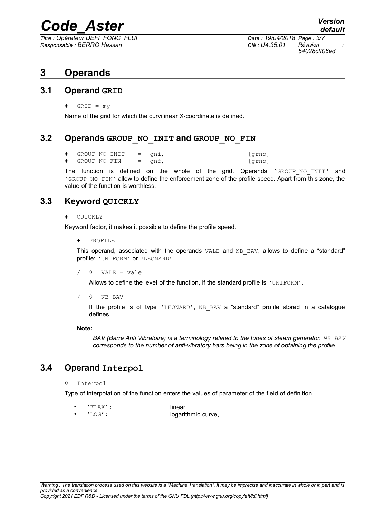*Titre : Opérateur DEFI\_FONC\_FLUI Date : 19/04/2018 Page : 3/7 Responsable : BERRO Hassan Clé : U4.35.01 Révision :*

*54028cff06ed*

### **3 Operands**

### **3.1 Operand GRID**

 $\triangleleft$  GRID = my

Name of the grid for which the curvilinear X-coordinate is defined.

### **3.2 Operands GROUP\_NO\_INIT and GROUP\_NO\_FIN**

| GROUP NO INIT = qni, |          | [qrno] |
|----------------------|----------|--------|
| GROUP NO FIN         | $=$ qnf, | [qrno] |

The function is defined on the whole of the grid. Operands 'GROUP NO INIT' and 'GROUP\_NO\_FIN' allow to define the enforcement zone of the profile speed. Apart from this zone, the value of the function is worthless.

### **3.3 Keyword QUICKLY**

### ♦ QUICKLY

Keyword factor, it makes it possible to define the profile speed.

♦ PROFILE

This operand, associated with the operands  $VALE$  and  $NB$  BAV, allows to define a "standard" profile: 'UNIFORM' or 'LEONARD'.

 $\sqrt{ }$   $\sqrt{ }$  VALE = vale

Allows to define the level of the function, if the standard profile is 'UNIFORM'.

/ ◊ NB\_BAV

If the profile is of type  $'LEONARD'$ , NB BAV a "standard" profile stored in a catalogue defines.

#### **Note:**

*BAV (Barre Anti Vibratoire) is a terminology related to the tubes of steam generator.* **NB BAV** *corresponds to the number of anti-vibratory bars being in the zone of obtaining the profile.*

### **3.4 Operand Interpol**

◊ Interpol

Type of interpolation of the function enters the values of parameter of the field of definition.

• 'FLAX': linear, • 'LOG': logarithmic curve,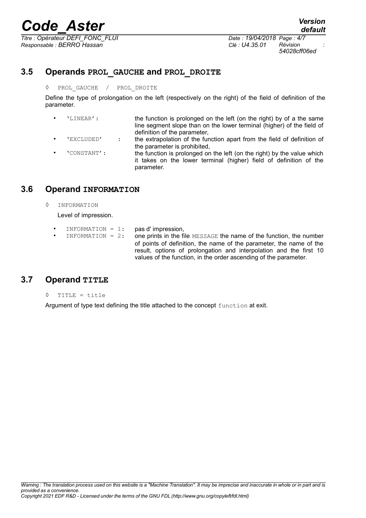*Titre : Opérateur DEFI\_FONC\_FLUI Date : 19/04/2018 Page : 4/7 Responsable : BERRO Hassan Clé : U4.35.01 Révision :*

*54028cff06ed*

### **3.5 Operands PROL\_GAUCHE and PROL\_DROITE**

### ◊ PROL\_GAUCHE / PROL\_DROITE

Define the type of prolongation on the left (respectively on the right) of the field of definition of the parameter.

- 'LINEAR': the function is prolonged on the left (on the right) by of a the same line segment slope than on the lower terminal (higher) of the field of definition of the parameter,
- 'EXCLUDED' : the extrapolation of the function apart from the field of definition of the parameter is prohibited,
- 'CONSTANT': the function is prolonged on the left (on the right) by the value which it takes on the lower terminal (higher) field of definition of the parameter.

### **3.6 Operand INFORMATION**

◊ INFORMATION

Level of impression.

- INFORMATION =  $1:$  pas d'impression,
- INFORMATION =  $2:$  one prints in the file MESSAGE the name of the function, the number of points of definition, the name of the parameter, the name of the result, options of prolongation and interpolation and the first 10 values of the function, in the order ascending of the parameter.

### **3.7 Operand TITLE**

◊ TITLE = title

Argument of type text defining the title attached to the concept function at exit.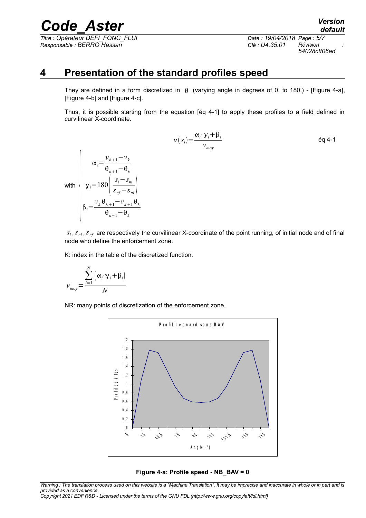*Titre : Opérateur DEFI\_FONC\_FLUI Date : 19/04/2018 Page : 5/7 Responsable : BERRO Hassan Clé : U4.35.01 Révision :*

*54028cff06ed*

### **4 Presentation of the standard profiles speed**

They are defined in a form discretized in  $\theta$  (varying angle in degrees of 0. to 180.) - [Figure 4-a], [Figure 4-b] and [Figure 4-c].

Thus, it is possible starting from the equation [éq 4-1] to apply these profiles to a field defined in curvilinear X-coordinate.

$$
v(s_i) = \frac{\alpha_i \cdot \gamma_i + \beta_i}{\nu_{moy}}
$$
éq 4-1

with  $\gamma_i = 180 \frac{1}{s}$ 

 $s_i$ ,  $s_m$ ,  $s_m$  are respectively the curvilinear X-coordinate of the point running, of initial node and of final node who define the enforcement zone.

K: index in the table of the discretized function.

$$
v_{mov} = \frac{\sum_{i=1}^{N} (\alpha_i \cdot \gamma_i + \beta_i)}{N}
$$

 $\beta_i = \frac{v_k \theta}{\sqrt{n}}$ 

 $\alpha_i =$ 

 $v_{k+1} - v_k$  $\theta_{k+1}$ − $\theta_k$ 

 $v_k \theta_{k+1} - v_{k+1} \theta_k$  $\theta_{k+1}-\theta_k$ 

*si*−*sni snf*−*sni*

NR: many points of discretization of the enforcement zone.



#### **Figure 4-a: Profile speed - NB\_BAV = 0**

*Warning : The translation process used on this website is a "Machine Translation". It may be imprecise and inaccurate in whole or in part and is provided as a convenience.*

*Copyright 2021 EDF R&D - Licensed under the terms of the GNU FDL (http://www.gnu.org/copyleft/fdl.html)*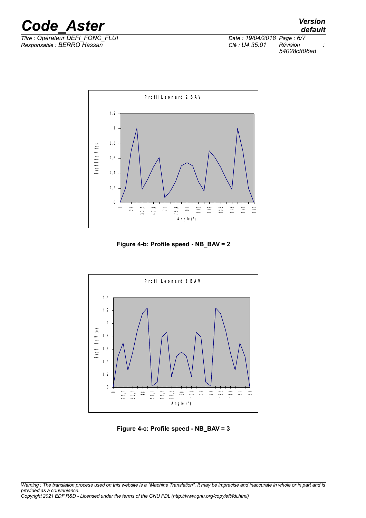

*Titre : Opérateur DEFI\_FONC\_FLUI Date : 19/04/2018 Page : 6/7 Responsable : BERRO Hassan Clé : U4.35.01 Révision :*

*54028cff06ed*



**Figure 4-b: Profile speed - NB\_BAV = 2**



**Figure 4-c: Profile speed - NB\_BAV = 3**

*Warning : The translation process used on this website is a "Machine Translation". It may be imprecise and inaccurate in whole or in part and is provided as a convenience. Copyright 2021 EDF R&D - Licensed under the terms of the GNU FDL (http://www.gnu.org/copyleft/fdl.html)*

*default*